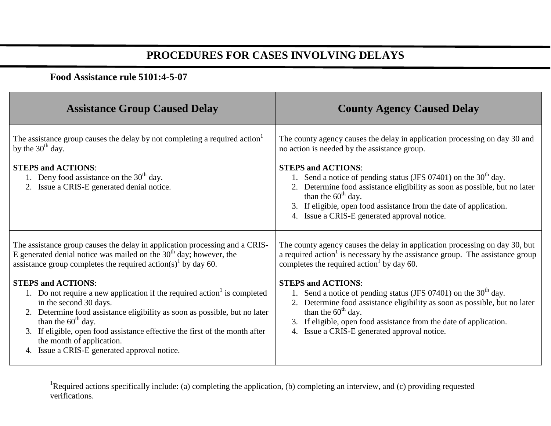## **PROCEDURES FOR CASES INVOLVING DELAYS**

## **Food Assistance rule 5101:4-5-07**

| <b>Assistance Group Caused Delay</b>                                                                                                                                                                                                                                                                                                                                                             | <b>County Agency Caused Delay</b>                                                                                                                                                                                                                                                                                          |
|--------------------------------------------------------------------------------------------------------------------------------------------------------------------------------------------------------------------------------------------------------------------------------------------------------------------------------------------------------------------------------------------------|----------------------------------------------------------------------------------------------------------------------------------------------------------------------------------------------------------------------------------------------------------------------------------------------------------------------------|
| The assistance group causes the delay by not completing a required action <sup>1</sup><br>by the $30th$ day.                                                                                                                                                                                                                                                                                     | The county agency causes the delay in application processing on day 30 and<br>no action is needed by the assistance group.                                                                                                                                                                                                 |
| <b>STEPS and ACTIONS:</b><br>1. Deny food assistance on the $30th$ day.<br>2. Issue a CRIS-E generated denial notice.                                                                                                                                                                                                                                                                            | <b>STEPS and ACTIONS:</b><br>1. Send a notice of pending status (JFS 07401) on the $30th$ day.<br>2. Determine food assistance eligibility as soon as possible, but no later<br>than the $60th$ day.<br>3. If eligible, open food assistance from the date of application.<br>4. Issue a CRIS-E generated approval notice. |
| The assistance group causes the delay in application processing and a CRIS-<br>E generated denial notice was mailed on the $30th$ day; however, the<br>assistance group completes the required action(s) <sup>1</sup> by day 60.                                                                                                                                                                 | The county agency causes the delay in application processing on day 30, but<br>a required action <sup>1</sup> is necessary by the assistance group. The assistance group<br>completes the required action by day 60.                                                                                                       |
| <b>STEPS and ACTIONS:</b><br>1. Do not require a new application if the required action is completed<br>in the second 30 days.<br>2. Determine food assistance eligibility as soon as possible, but no later<br>than the $60th$ day.<br>3. If eligible, open food assistance effective the first of the month after<br>the month of application.<br>4. Issue a CRIS-E generated approval notice. | <b>STEPS and ACTIONS:</b><br>1. Send a notice of pending status (JFS 07401) on the $30th$ day.<br>2. Determine food assistance eligibility as soon as possible, but no later<br>than the $60th$ day.<br>3. If eligible, open food assistance from the date of application.<br>4. Issue a CRIS-E generated approval notice. |

<sup>1</sup>Required actions specifically include: (a) completing the application, (b) completing an interview, and (c) providing requested verifications.